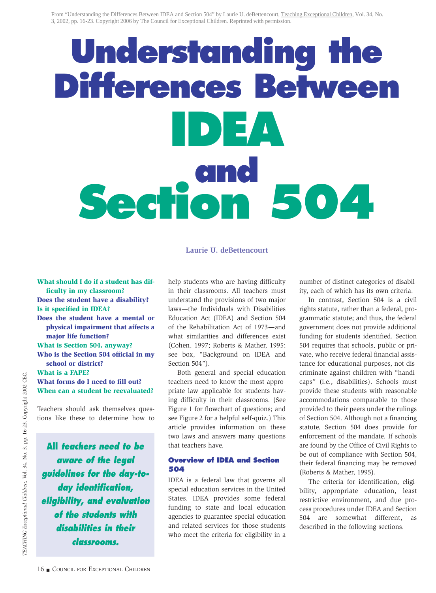# **Understanding the Differences Between IDEA and Section 504**

# **Laurie U. deBettencourt**

**What should I do if a student has difficulty in my classroom? Does the student have a disability? Is it specified in IDEA? Does the student have a mental or physical impairment that affects a major life function? What is Section 504, anyway? Who is the Section 504 official in my school or district? What is a FAPE? What forms do I need to fill out? When can a student be reevaluated?** 

Teachers should ask themselves questions like these to determine how to

**All teachers need to be aware of the legal guidelines for the day-today identification, eligibility, and evaluation of the students with disabilities in their classrooms.** 

help students who are having difficulty in their classrooms. All teachers must understand the provisions of two major laws—the Individuals with Disabilities Education Act (IDEA) and Section 504 of the Rehabilitation Act of 1973—and what similarities and differences exist (Cohen, 1997; Roberts & Mather, 1995; see box, "Background on IDEA and Section 504").

Both general and special education teachers need to know the most appropriate law applicable for students having difficulty in their classrooms. (See Figure 1 for flowchart of questions; and see Figure 2 for a helpful self-quiz.) This article provides information on these two laws and answers many questions that teachers have.

# **Overview of IDEA and Section 504**

IDEA is a federal law that governs all special education services in the United States. IDEA provides some federal funding to state and local education agencies to guarantee special education and related services for those students who meet the criteria for eligibility in a number of distinct categories of disability, each of which has its own criteria.

In contrast, Section 504 is a civil rights statute, rather than a federal, programmatic statute; and thus, the federal government does not provide additional funding for students identified. Section 504 requires that schools, public or private, who receive federal financial assistance for educational purposes, not discriminate against children with "handicaps" (i.e., disabilities). Schools must provide these students with reasonable accommodations comparable to those provided to their peers under the rulings of Section 504. Although not a financing statute, Section 504 does provide for enforcement of the mandate. If schools are found by the Office of Civil Rights to be out of compliance with Section 504, their federal financing may be removed (Roberts & Mather, 1995).

The criteria for identification, eligibility, appropriate education, least restrictive environment, and due process procedures under IDEA and Section 504 are somewhat different, as described in the following sections.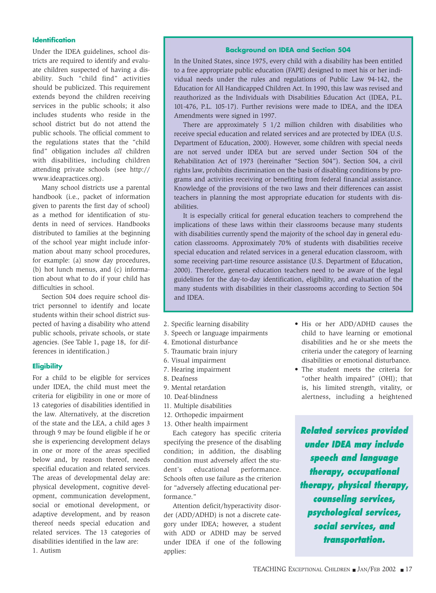#### **Identification**

Under the IDEA guidelines, school districts are required to identify and evaluate children suspected of having a disability. Such "child find" activities should be publicized. This requirement extends beyond the children receiving services in the public schools; it also includes students who reside in the school district but do not attend the public schools. The official comment to the regulations states that the "child find" obligation includes *all* children with disabilities, including children attending private schools (see http:// www.ideapractices.org).

Many school districts use a parental handbook (i.e., packet of information given to parents the first day of school) as a method for identification of students in need of services. Handbooks distributed to families at the beginning of the school year might include information about many school procedures, for example: (a) snow day procedures, (b) hot lunch menus, and (c) information about what to do if your child has difficulties in school.

Section 504 does require school district personnel to identify and locate students within their school district suspected of having a disability who attend public schools, private schools, or state agencies. (See Table 1, page 18, for differences in identification.)

#### **Eligibility**

For a child to be eligible for services under IDEA, the child must meet the criteria for eligibility in one or more of 13 categories of disabilities identified in the law. Alternatively, at the discretion of the state and the LEA, a child ages 3 through 9 may be found eligible if he or she is experiencing development delays in one or more of the areas specified below and, by reason thereof, needs specifial education and related services. The areas of developmental delay are: physical development, cognitive development, communication development, social or emotional development, or adaptive development, and by reason thereof needs special education and related services. The 13 categories of disabilities identified in the law are: 1. Autism

#### **Background on IDEA and Section 504**

In the United States, since 1975, every child with a disability has been entitled to a free appropriate public education (FAPE) designed to meet his or her individual needs under the rules and regulations of Public Law 94-142, the Education for All Handicapped Children Act. In 1990, this law was revised and reauthorized as the Individuals with Disabilities Education Act (IDEA, P.L. 101-476, P.L. 105-17). Further revisions were made to IDEA, and the IDEA Amendments were signed in 1997.

There are approximately 5 1/2 million children with disabilities who receive special education and related services and are protected by IDEA (U.S. Department of Education, 2000). However, some children with special needs are not served under IDEA but are served under Section 504 of the Rehabilitation Act of 1973 (hereinafter "Section 504"). Section 504, a civil rights law, prohibits discrimination on the basis of disabling conditions by programs and activities receiving or benefiting from federal financial assistance. Knowledge of the provisions of the two laws and their differences can assist teachers in planning the most appropriate education for students with disabilities.

It is especially critical for general education teachers to comprehend the implications of these laws within their classrooms because many students with disabilities currently spend the majority of the school day in general education classrooms. Approximately 70% of students with disabilities receive special education and related services in a general education classroom, with some receiving part-time resource assistance (U.S. Department of Education, 2000). Therefore, general education teachers need to be aware of the legal guidelines for the day-to-day identification, eligibility, and evaluation of the many students with disabilities in their classrooms according to Section 504 and IDEA.

- 2. Specific learning disability
- 3. Speech or language impairments
- 4. Emotional disturbance
- 5. Traumatic brain injury
- 6. Visual impairment
- 7. Hearing impairment
- 8. Deafness
- 9. Mental retardation
- 10. Deaf-blindness
- 11. Multiple disabilities
- 12. Orthopedic impairment
- 13. Other health impairment

Each category has specific criteria specifying the presence of the disabling condition; in addition, the disabling condition must adversely affect the student's educational performance. Schools often use failure as the criterion for "adversely affecting educational performance."

Attention deficit/hyperactivity disorder (ADD/ADHD) is not a discrete category under IDEA; however, a student with ADD or ADHD may be served under IDEA if one of the following applies:

- His or her ADD/ADHD causes the child to have learning or emotional disabilities and he or she meets the criteria under the category of learning disabilities or emotional disturbance.
- The student meets the criteria for "other health impaired" (OHI); that is, his limited strength, vitality, or alertness, including a heightened

**Related services provided under IDEA may include speech and language therapy, occupational therapy, physical therapy, counseling services, psychological services, social services, and transportation.**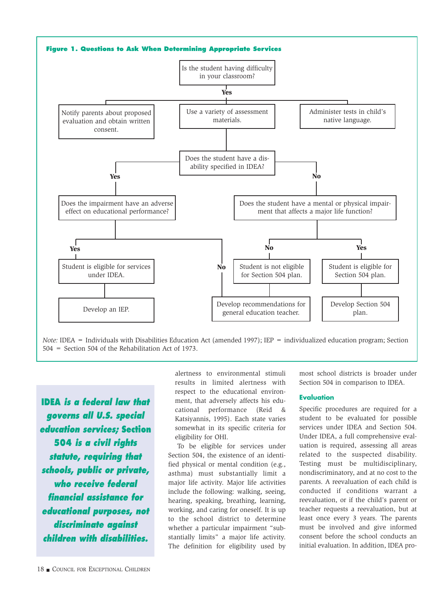

*Note:* IDEA = Individuals with Disabilities Education Act (amended 1997); IEP = individualized education program; Section 504 = Section 504 of the Rehabilitation Act of 1973.

**IDEA is a federal law that governs all U.S. special education services; Section 504 is a civil rights statute, requiring that schools, public or private, who receive federal financial assistance for educational purposes, not discriminate against children with disabilities.** 

alertness to environmental stimuli results in limited alertness with respect to the educational environment, that adversely affects his educational performance (Reid & Katsiyannis, 1995). Each state varies somewhat in its specific criteria for eligibility for OHI.

To be eligible for services under Section 504, the existence of an identified physical or mental condition (e.g., asthma) must substantially limit a major life activity. Major life activities include the following: walking, seeing, hearing, speaking, breathing, learning, working, and caring for oneself. It is up to the school district to determine whether a particular impairment "substantially limits" a major life activity. The definition for eligibility used by most school districts is broader under Section 504 in comparison to IDEA.

#### **Evaluation**

Specific procedures are required for a student to be evaluated for possible services under IDEA and Section 504. Under IDEA, a full comprehensive evaluation is required, assessing all areas related to the suspected disability. Testing must be multidisciplinary, nondiscriminatory, and at no cost to the parents. A reevaluation of each child is conducted if conditions warrant a reevaluation, or if the child's parent or teacher requests a reevaluation, but at least once every 3 years. The parents must be involved and give informed consent before the school conducts an initial evaluation. In addition, IDEA pro-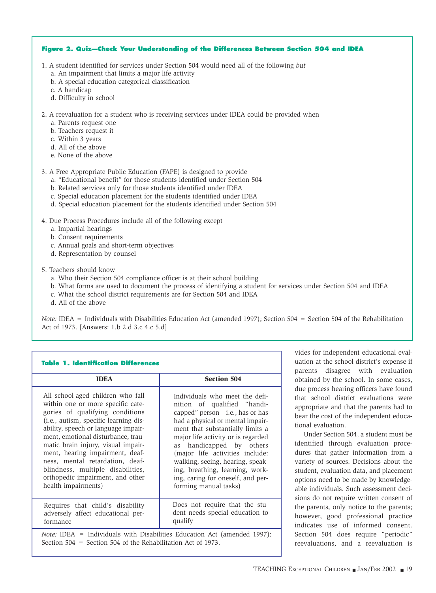#### **Figure 2. Quiz—Check Your Understanding of the Differences Between Section 504 and IDEA**

- 1. A student identified for services under Section 504 would need all of the following *but* 
	- a. An impairment that limits a major life activity
	- b. A special education categorical classification
	- c. A handicap
	- d. Difficulty in school

2. A reevaluation for a student who is receiving services under IDEA could be provided when

- a. Parents request one
- b. Teachers request it
- c. Within 3 years
- d. All of the above
- e. None of the above

3. A Free Appropriate Public Education (FAPE) is designed to provide

- a. "Educational benefit" for those students identified under Section 504
- b. Related services only for those students identified under IDEA
- c. Special education placement for the students identified under IDEA
- d. Special education placement for the students identified under Section 504
- 4. Due Process Procedures include all of the following except
	- a. Impartial hearings
	- b. Consent requirements
	- c. Annual goals and short-term objectives
	- d. Representation by counsel
- 5. Teachers should know
	- a. Who their Section 504 compliance officer is at their school building
	- b. What forms are used to document the process of identifying a student for services under Section 504 and IDEA
	- c. What the school district requirements are for Section 504 and IDEA
	- d. All of the above

*Note:* IDEA = Individuals with Disabilities Education Act (amended 1997); Section 504 = Section 504 of the Rehabilitation Act of 1973. [Answers: 1.b 2.d 3.c 4.c 5.d]

| <b>Table 1. Identification Differences</b>                                                                                                                                                                                                                                                                                                                                                                                                  |                                                                                                                                                                                                                                                                                                                                                                                                                    |  |  |  |
|---------------------------------------------------------------------------------------------------------------------------------------------------------------------------------------------------------------------------------------------------------------------------------------------------------------------------------------------------------------------------------------------------------------------------------------------|--------------------------------------------------------------------------------------------------------------------------------------------------------------------------------------------------------------------------------------------------------------------------------------------------------------------------------------------------------------------------------------------------------------------|--|--|--|
| <b>IDEA</b>                                                                                                                                                                                                                                                                                                                                                                                                                                 | <b>Section 504</b>                                                                                                                                                                                                                                                                                                                                                                                                 |  |  |  |
| All school-aged children who fall<br>within one or more specific cate-<br>gories of qualifying conditions<br>(i.e., autism, specific learning dis-<br>ability, speech or language impair-<br>ment, emotional disturbance, trau-<br>matic brain injury, visual impair-<br>ment, hearing impairment, deaf-<br>ness, mental retardation, deaf-<br>blindness, multiple disabilities,<br>orthopedic impairment, and other<br>health impairments) | Individuals who meet the defi-<br>nition of qualified "handi-<br>capped" person—i.e., has or has<br>had a physical or mental impair-<br>ment that substantially limits a<br>major life activity or is regarded<br>as handicapped by others<br>(major life activities include:<br>walking, seeing, hearing, speak-<br>ing, breathing, learning, work-<br>ing, caring for oneself, and per-<br>forming manual tasks) |  |  |  |
| Requires that child's disability<br>adversely affect educational per-<br>formance                                                                                                                                                                                                                                                                                                                                                           | Does not require that the stu-<br>dent needs special education to<br>qualify                                                                                                                                                                                                                                                                                                                                       |  |  |  |
| <i>Note:</i> IDEA = Individuals with Disabilities Education Act (amended 1997);<br>Section $504$ = Section 504 of the Rehabilitation Act of 1973.                                                                                                                                                                                                                                                                                           |                                                                                                                                                                                                                                                                                                                                                                                                                    |  |  |  |

vides for independent educational evaluation at the school district's expense if parents disagree with evaluation obtained by the school. In some cases, due process hearing officers have found that school district evaluations were appropriate and that the parents had to bear the cost of the independent educational evaluation.

Under Section 504, a student must be identified through evaluation procedures that gather information from a variety of sources. Decisions about the student, evaluation data, and placement options need to be made by knowledgeable individuals. Such assessment decisions do not require written consent of the parents, only notice to the parents; however, good professional practice indicates use of informed consent. Section 504 does require "periodic" reevaluations, and a reevaluation is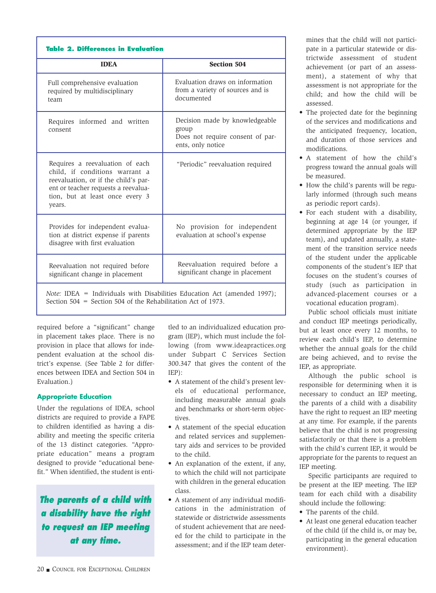| <b>Table 2. Differences in Evaluation</b>                                                                                                                                                     |                                                                                                  |  |  |  |  |
|-----------------------------------------------------------------------------------------------------------------------------------------------------------------------------------------------|--------------------------------------------------------------------------------------------------|--|--|--|--|
| <b>IDEA</b>                                                                                                                                                                                   | <b>Section 504</b>                                                                               |  |  |  |  |
| Full comprehensive evaluation<br>required by multidisciplinary<br>team                                                                                                                        | Evaluation draws on information<br>from a variety of sources and is<br>documented                |  |  |  |  |
| Requires informed and written<br>consent                                                                                                                                                      | Decision made by knowledgeable<br>group<br>Does not require consent of par-<br>ents, only notice |  |  |  |  |
| Requires a reevaluation of each<br>child, if conditions warrant a<br>reevaluation, or if the child's par-<br>ent or teacher requests a reevalua-<br>tion, but at least once every 3<br>years. | "Periodic" reevaluation required                                                                 |  |  |  |  |
| Provides for independent evalua-<br>tion at district expense if parents<br>disagree with first evaluation                                                                                     | No provision for independent<br>evaluation at school's expense                                   |  |  |  |  |
| Reevaluation not required before<br>significant change in placement                                                                                                                           | Reevaluation required before a<br>significant change in placement                                |  |  |  |  |
|                                                                                                                                                                                               |                                                                                                  |  |  |  |  |

*Note:* IDEA = Individuals with Disabilities Education Act (amended 1997); Section 504 = Section 504 of the Rehabilitation Act of 1973.

required before a "significant" change in placement takes place. There is no provision in place that allows for independent evaluation at the school district's expense. (See Table 2 for differences between IDEA and Section 504 in Evaluation.)

# **Appropriate Education**

Under the regulations of IDEA, school districts are required to provide a FAPE to children identified as having a disability and meeting the specific criteria of the 13 distinct categories. "Appropriate education" means a program designed to provide "educational benefit." When identified, the student is enti-

**The parents of a child with a disability have the right to request an IEP meeting at any time.** 

tled to an individualized education program (IEP), which must include the following (from www.ideapractices.org under Subpart C Services Section 300.347 that gives the content of the IEP):

- A statement of the child's present levels of educational performance, including measurable annual goals and benchmarks or short-term objectives.
- A statement of the special education and related services and supplementary aids and services to be provided to the child.
- An explanation of the extent, if any, to which the child will not participate with children in the general education class.
- A statement of any individual modifications in the administration of statewide or districtwide assessments of student achievement that are needed for the child to participate in the assessment; and if the IEP team deter-

mines that the child will not participate in a particular statewide or districtwide assessment of student achievement (or part of an assessment), a statement of why that assessment is not appropriate for the child; and how the child will be assessed.

- The projected date for the beginning of the services and modifications and the anticipated frequency, location, and duration of those services and modifications.
- A statement of how the child's progress toward the annual goals will be measured.
- How the child's parents will be regularly informed (through such means as periodic report cards).
- For each student with a disability, beginning at age 14 (or younger, if determined appropriate by the IEP team), and updated annually, a statement of the transition service needs of the student under the applicable components of the student's IEP that focuses on the student's courses of study (such as participation in advanced-placement courses or a vocational education program).

Public school officials must initiate and conduct IEP meetings periodically, but at least once every 12 months, to review each child's IEP, to determine whether the annual goals for the child are being achieved, and to revise the IEP, as appropriate.

Although the public school is responsible for determining when it is necessary to conduct an IEP meeting, the parents of a child with a disability have the right to request an IEP meeting at any time. For example, if the parents believe that the child is not progressing satisfactorily or that there is a problem with the child's current IEP, it would be appropriate for the parents to request an IEP meeting.

Specific participants are required to be present at the IEP meeting. The IEP team for each child with a disability should include the following:

- The parents of the child.
- At least one general education teacher of the child (if the child is, or may be, participating in the general education environment).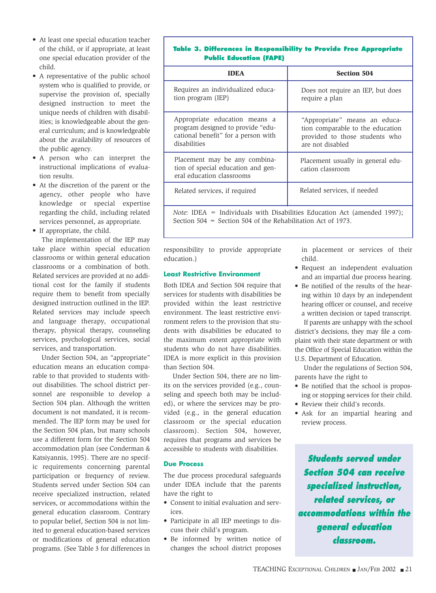- At least one special education teacher of the child, or if appropriate, at least one special education provider of the child.
- A representative of the public school system who is qualified to provide, or supervise the provision of, specially designed instruction to meet the unique needs of children with disabilities; is knowledgeable about the general curriculum; and is knowledgeable about the availability of resources of the public agency.
- A person who can interpret the instructional implications of evaluation results.
- At the discretion of the parent or the agency, other people who have knowledge or special expertise regarding the child, including related services personnel, as appropriate.
- If appropriate, the child.

The implementation of the IEP may take place within special education classrooms or within general education classrooms or a combination of both. Related services are provided at no additional cost for the family if students require them to benefit from specially designed instruction outlined in the IEP. Related services may include speech and language therapy, occupational therapy, physical therapy, counseling services, psychological services, social services, and transportation.

Under Section 504, an "appropriate" education means an education comparable to that provided to students without disabilities. The school district personnel are responsible to develop a Section 504 plan. Although the written document is not mandated, it is recommended. The IEP form may be used for the Section 504 plan, but many schools use a different form for the Section 504 accommodation plan (see Conderman & Katsiyannis, 1995). There are no specific requirements concerning parental participation or frequency of review. Students served under Section 504 can receive specialized instruction, related services, or accommodations within the general education classroom. Contrary to popular belief, Section 504 is not limited to general education-based services or modifications of general education programs. (See Table 3 for differences in

|  |                                | Table 3. Differences in Responsibility to Provide Free Appropriate |  |  |
|--|--------------------------------|--------------------------------------------------------------------|--|--|
|  | <b>Public Education (FAPE)</b> |                                                                    |  |  |

| <b>IDEA</b>                                                                                                                                | <b>Section 504</b>                                                                                                      |  |  |
|--------------------------------------------------------------------------------------------------------------------------------------------|-------------------------------------------------------------------------------------------------------------------------|--|--|
| Requires an individualized educa-<br>tion program (IEP)                                                                                    | Does not require an IEP, but does<br>require a plan                                                                     |  |  |
| Appropriate education means a<br>program designed to provide "edu-<br>cational benefit" for a person with<br>disabilities                  | "Appropriate" means an educa-<br>tion comparable to the education<br>provided to those students who<br>are not disabled |  |  |
| Placement may be any combina-<br>tion of special education and gen-<br>eral education classrooms                                           | Placement usually in general edu-<br>cation classroom                                                                   |  |  |
| Related services, if required                                                                                                              | Related services, if needed                                                                                             |  |  |
| Note: IDEA = Individuals with Disabilities Education Act (amended 1997);<br>Section $504 =$ Section 504 of the Rehabilitation Act of 1973. |                                                                                                                         |  |  |

responsibility to provide appropriate education.)

# **Least Restrictive Environment**

Both IDEA and Section 504 require that services for students with disabilities be provided within the least restrictive environment. The least restrictive environment refers to the provision that students with disabilities be educated to the maximum extent appropriate with students who do not have disabilities. IDEA is more explicit in this provision than Section 504.

Under Section 504, there are no limits on the services provided (e.g., counseling and speech both may be included), or where the services may be provided (e.g., in the general education classroom or the special education classroom). Section 504, however, requires that programs and services be accessible to students with disabilities.

#### **Due Process**

The due process procedural safeguards under IDEA include that the parents have the right to

- Consent to initial evaluation and services.
- Participate in all IEP meetings to discuss their child's program.
- Be informed by written notice of changes the school district proposes

in placement or services of their child.

- Request an independent evaluation and an impartial due process hearing.
- Be notified of the results of the hearing within 10 days by an independent hearing officer or counsel, and receive a written decision or taped transcript.

If parents are unhappy with the school district's decisions, they may file a complaint with their state department or with the Office of Special Education within the U.S. Department of Education.

Under the regulations of Section 504, parents have the right to

- Be notified that the school is proposing or stopping services for their child.
- Review their child's records.
- Ask for an impartial hearing and review process.

**Students served under Section 504 can receive specialized instruction, related services, or accommodations within the general education classroom.**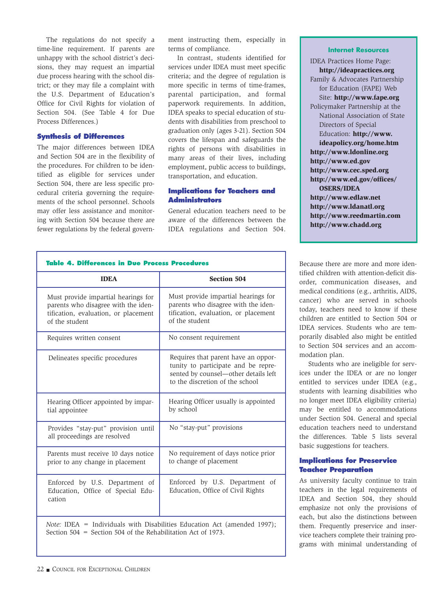The regulations do not specify a time-line requirement. If parents are unhappy with the school district's decisions, they may request an impartial due process hearing with the school district; or they may file a complaint with the U.S. Department of Education's Office for Civil Rights for violation of Section 504. (See Table 4 for Due Process Differences.)

#### **Synthesis of Differences**

The major differences between IDEA and Section 504 are in the flexibility of the procedures. For children to be identified as eligible for services under Section 504, there are less specific procedural criteria governing the requirements of the school personnel. Schools may offer less assistance and monitoring with Section 504 because there are fewer regulations by the federal government instructing them, especially in terms of compliance.

In contrast, students identified for services under IDEA must meet specific criteria; and the degree of regulation is more specific in terms of time-frames, parental participation, and formal paperwork requirements. In addition, IDEA speaks to special education of students with disabilities from preschool to graduation only (ages 3-21). Section 504 covers the lifespan and safeguards the rights of persons with disabilities in many areas of their lives, including employment, public access to buildings, transportation, and education.

# **Implications for Teachers and Administrators**

General education teachers need to be aware of the differences between the IDEA regulations and Section 504.

|  |  | <b>Internet Resources</b> |
|--|--|---------------------------|
|--|--|---------------------------|

IDEA Practices Home Page: **http://ideapractices.org**  Family & Advocates Partnership for Education (FAPE) Web Site: **http://www.fape.org**  Policymaker Partnership at the National Association of State Directors of Special Education: **http://www. ideapolicy.org/home.htm http://www.ldonline.org http://www.ed.gov http://www.cec.sped.org http://www.ed.gov/offices/ OSERS/IDEA http://www.edlaw.net http://www.ldanatl.org http://www.reedmartin.com http://www.chadd.org** 

| <b>Table 4. Differences in Due Process Procedures</b>                                                                                |                                                                                                                                                       |  |  |
|--------------------------------------------------------------------------------------------------------------------------------------|-------------------------------------------------------------------------------------------------------------------------------------------------------|--|--|
| <b>IDEA</b>                                                                                                                          | <b>Section 504</b>                                                                                                                                    |  |  |
| Must provide impartial hearings for<br>parents who disagree with the iden-<br>tification, evaluation, or placement<br>of the student | Must provide impartial hearings for<br>parents who disagree with the iden-<br>tification, evaluation, or placement<br>of the student                  |  |  |
| Requires written consent                                                                                                             | No consent requirement                                                                                                                                |  |  |
| Delineates specific procedures                                                                                                       | Requires that parent have an oppor-<br>tunity to participate and be repre-<br>sented by counsel-other details left<br>to the discretion of the school |  |  |
| Hearing Officer appointed by impar-<br>tial appointee                                                                                | Hearing Officer usually is appointed<br>by school                                                                                                     |  |  |
| Provides "stay-put" provision until<br>all proceedings are resolved                                                                  | No "stay-put" provisions                                                                                                                              |  |  |
| Parents must receive 10 days notice<br>prior to any change in placement                                                              | No requirement of days notice prior<br>to change of placement                                                                                         |  |  |
| Enforced by U.S. Department of<br>Education, Office of Special Edu-<br>cation                                                        | Enforced by U.S. Department of<br>Education, Office of Civil Rights                                                                                   |  |  |
| Note: IDEA = Individuals with Disabilities Education Act (amended 1997);                                                             |                                                                                                                                                       |  |  |

Section 504 = Section 504 of the Rehabilitation Act of 1973.

Because there are more and more identified children with attention-deficit disorder, communication diseases, and medical conditions (e.g., arthritis, AIDS, cancer) who are served in schools today, teachers need to know if these children are entitled to Section 504 or IDEA services. Students who are temporarily disabled also might be entitled to Section 504 services and an accommodation plan.

Students who are ineligible for services under the IDEA or are no longer entitled to services under IDEA (e.g., students with learning disabilities who no longer meet IDEA eligibility criteria) may be entitled to accommodations under Section 504. General and special education teachers need to understand the differences. Table 5 lists several basic suggestions for teachers.

# **Implications for Preservice Teacher Preparation**

As university faculty continue to train teachers in the legal requirements of IDEA and Section 504, they should emphasize not only the provisions of each, but also the distinctions between them. Frequently preservice and inservice teachers complete their training programs with minimal understanding of